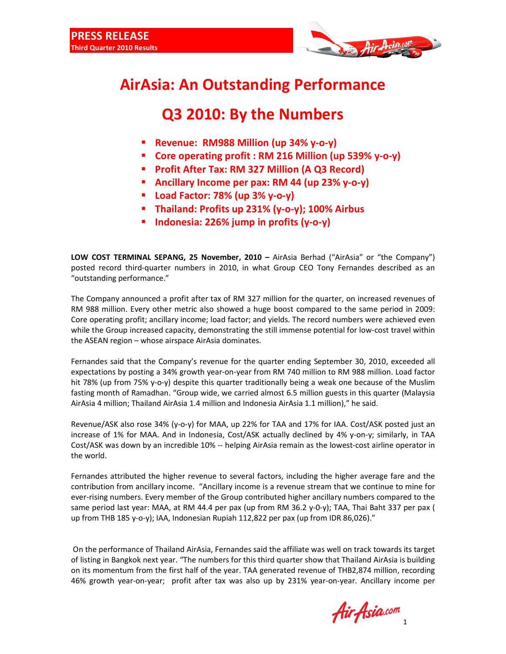

## **AirAsia: An Outstanding Performance**

## **Q3 2010: By the Numbers**

- **Revenue: RM988 Million (up 34% y-o-y)**
- **Core operating profit : RM 216 Million (up 539% y-o-y)**
- **Profit After Tax: RM 327 Million (A Q3 Record)**
- **Ancillary Income per pax: RM 44 (up 23% y-o-y)**
- **Load Factor: 78% (up 3% y-o-y)**
- **Thailand: Profits up 231% (y-o-y); 100% Airbus**
- **Indonesia: 226% jump in profits (y-o-y)**

**LOW COST TERMINAL SEPANG, 25 November, 2010 –** AirAsia Berhad ("AirAsia" or "the Company") posted record third-quarter numbers in 2010, in what Group CEO Tony Fernandes described as an "outstanding performance."

The Company announced a profit after tax of RM 327 million for the quarter, on increased revenues of RM 988 million. Every other metric also showed a huge boost compared to the same period in 2009: Core operating profit; ancillary income; load factor; and yields. The record numbers were achieved even while the Group increased capacity, demonstrating the still immense potential for low-cost travel within the ASEAN region – whose airspace AirAsia dominates.

Fernandes said that the Company's revenue for the quarter ending September 30, 2010, exceeded all expectations by posting a 34% growth year-on-year from RM 740 million to RM 988 million. Load factor hit 78% (up from 75% y-o-y) despite this quarter traditionally being a weak one because of the Muslim fasting month of Ramadhan. "Group wide, we carried almost 6.5 million guests in this quarter (Malaysia AirAsia 4 million; Thailand AirAsia 1.4 million and Indonesia AirAsia 1.1 million)," he said.

Revenue/ASK also rose 34% (y-o-y) for MAA, up 22% for TAA and 17% for IAA. Cost/ASK posted just an increase of 1% for MAA. And in Indonesia, Cost/ASK actually declined by 4% y-on-y; similarly, in TAA Cost/ASK was down by an incredible 10% -- helping AirAsia remain as the lowest-cost airline operator in the world.

Fernandes attributed the higher revenue to several factors, including the higher average fare and the contribution from ancillary income. "Ancillary income is a revenue stream that we continue to mine for ever-rising numbers. Every member of the Group contributed higher ancillary numbers compared to the same period last year: MAA, at RM 44.4 per pax (up from RM 36.2 y-0-y); TAA, Thai Baht 337 per pax ( up from THB 185 y-o-y); IAA, Indonesian Rupiah 112,822 per pax (up from IDR 86,026)."

 On the performance of Thailand AirAsia, Fernandes said the affiliate was well on track towards its target of listing in Bangkok next year. "The numbers for this third quarter show that Thailand AirAsia is building on its momentum from the first half of the year. TAA generated revenue of THB2,874 million, recording 46% growth year-on-year; profit after tax was also up by 231% year-on-year. Ancillary income per

1